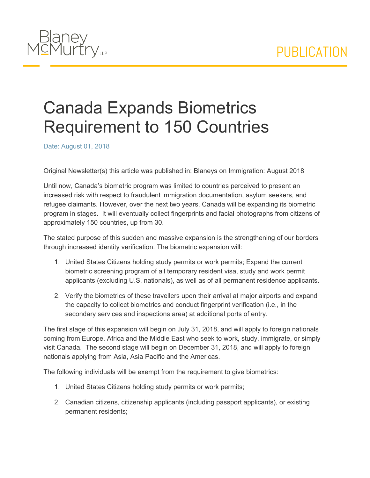## PUBLICATION



## Canada Expands Biometrics Requirement to 150 Countries

Date: August 01, 2018

Original Newsletter(s) this article was published in: Blaneys on Immigration: August 2018

Until now, Canada's biometric program was limited to countries perceived to present an increased risk with respect to fraudulent immigration documentation, asylum seekers, and refugee claimants. However, over the next two years, Canada will be expanding its biometric program in stages. It will eventually collect fingerprints and facial photographs from citizens of approximately 150 countries, up from 30.

The stated purpose of this sudden and massive expansion is the strengthening of our borders through increased identity verification. The biometric expansion will:

- 1. United States Citizens holding study permits or work permits; Expand the current biometric screening program of all temporary resident visa, study and work permit applicants (excluding U.S. nationals), as well as of all permanent residence applicants.
- 2. Verify the biometrics of these travellers upon their arrival at major airports and expand the capacity to collect biometrics and conduct fingerprint verification (i.e., in the secondary services and inspections area) at additional ports of entry.

The first stage of this expansion will begin on July 31, 2018, and will apply to foreign nationals coming from Europe, Africa and the Middle East who seek to work, study, immigrate, or simply visit Canada. The second stage will begin on December 31, 2018, and will apply to foreign nationals applying from Asia, Asia Pacific and the Americas.

The following individuals will be exempt from the requirement to give biometrics:

- 1. United States Citizens holding study permits or work permits;
- 2. Canadian citizens, citizenship applicants (including passport applicants), or existing permanent residents;